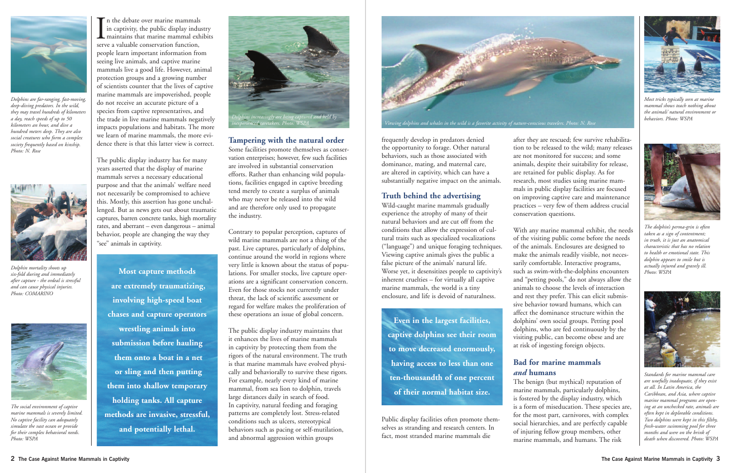In the debate over marine mammals<br>in captivity, the public display indu<br>maintains that marine mammal exl<br>serve a valuable conservation function, n the debate over marine mammals in captivity, the public display industry maintains that marine mammal exhibits people learn important information from seeing live animals, and captive marine mammals live a good life. However, animal protection groups and a growing number of scientists counter that the lives of captive marine mammals are impoverished, people do not receive an accurate picture of a species from captive representatives, and the trade in live marine mammals negatively impacts populations and habitats. The more we learn of marine mammals, the more evidence there is that this latter view is correct.

The public display industry has for many years asserted that the display of marine mammals serves a necessary educational purpose and that the animals' welfare need not necessarily be compromised to achieve this. Mostly, this assertion has gone unchallenged. But as news gets out about traumatic captures, barren concrete tanks, high mortality rates, and aberrant – even dangerous – animal behavior, people are changing the way they "see" animals in captivity.

#### **Tampering with the natural order**

Some facilities promote themselves as conservation enterprises; however, few such facilities are involved in substantial conservation efforts. Rather than enhancing wild populations, facilities engaged in captive breeding tend merely to create a surplus of animals who may never be released into the wild and are therefore only used to propagate the industry.

Contrary to popular perception, captures of wild marine mammals are not a thing of the past. Live captures, particularly of dolphins, continue around the world in regions where very little is known about the status of populations. For smaller stocks, live capture operations are a significant conservation concern. Even for those stocks not currently under threat, the lack of scientific assessment or regard for welfare makes the proliferation of these operations an issue of global concern.

The public display industry maintains that it enhances the lives of marine mammals in captivity by protecting them from the rigors of the natural environment. The truth is that marine mammals have evolved physically and behaviorally to survive these rigors. For example, nearly every kind of marine mammal, from sea lion to dolphin, travels large distances daily in search of food. In captivity, natural feeding and foraging patterns are completely lost. Stress-related conditions such as ulcers, stereotypical behaviors such as pacing or self-mutilation, and abnormal aggression within groups

frequently develop in predators denied the opportunity to forage. Other natural behaviors, such as those associated with dominance, mating, and maternal care, are altered in captivity, which can have a substantially negative impact on the animals.

#### **Truth behind the advertising**

Wild-caught marine mammals gradually experience the atrophy of many of their natural behaviors and are cut off from the conditions that allow the expression of cultural traits such as specialized vocalizations ("language") and unique foraging techniques. Viewing captive animals gives the public a false picture of the animals' natural life. Worse yet, it desensitizes people to captivity's inherent cruelties – for virtually all captive marine mammals, the world is a tiny enclosure, and life is devoid of naturalness.

Public display facilities often promote themselves as stranding and research centers. In fact, most stranded marine mammals die

after they are rescued; few survive rehabilitation to be released to the wild; many releases are not monitored for success; and some animals, despite their suitability for release, are retained for public display. As for research, most studies using marine mammals in public display facilities are focused on improving captive care and maintenance practices – very few of them address crucial conservation questions.

With any marine mammal exhibit, the needs of the visiting public come before the needs of the animals. Enclosures are designed to make the animals readily visible, not necessarily comfortable. Interactive programs, such as swim-with-the-dolphins encounters and "petting pools," do not always allow the animals to choose the levels of interaction and rest they prefer. This can elicit submissive behavior toward humans, which can affect the dominance structure within the dolphins' own social groups. Petting pool dolphins, who are fed continuously by the visiting public, can become obese and are at risk of ingesting foreign objects.

#### **Bad for marine mammals**  *and* **humans**

The benign (but mythical) reputation of marine mammals, particularly dolphins, is fostered by the display industry, which is a form of miseducation. These species are, for the most part, carnivores, with complex social hierarchies, and are perfectly capable of injuring fellow group members, other marine mammals, and humans. The risk

**Most capture methods are extremely traumatizing, involving high-speed boat chases and capture operators wrestling animals into submission before hauling them onto a boat in a net or sling and then putting them into shallow temporary holding tanks. All capture methods are invasive, stressful, and potentially lethal.**



*Dolphins are far-ranging, fast-moving, deep-diving predators. In the wild, they may travel hundreds of kilometers a day, reach speeds of up to 50 kilometers an hour, and dive a hundred meters deep. They are also social creatures who form a complex society frequently based on kinship. Photo: N. Rose*



*Dolphin mortality shoots up six-fold during and immediately after capture - the ordeal is stressful and can cause physical injuries. Photo: COMARINO*



*The social environment of captive marine mammals is severely limited. No captive facility can adequately simulate the vast ocean or provide for their complex behavioral needs. Photo: WSPA*



*Most tricks typically seen at marine mammal shows teach nothing about the animals' natural environment or behaviors. Photo: WSPA*



*The dolphin's perma-grin is often taken as a sign of contentment; in truth, it is just an anatomical characteristic that has no relation to health or emotional state. This dolphin appears to smile but is actually injured and gravely ill. Photo: WSPA* 



*Standards for marine mammal care are woefully inadequate, if they exist at all. In Latin America, the Caribbean, and Asia, where captive marine mammal programs are opening at an unchecked rate, animals are often kept in deplorable conditions. Two dolphins were kept in this filthy, fresh-water swimming pool for three months and were on the brink of death when discovered. Photo: WSPA*

**Even in the largest facilities, captive dolphins see their room to move decreased enormously, having access to less than one ten-thousandth of one percent of their normal habitat size.**